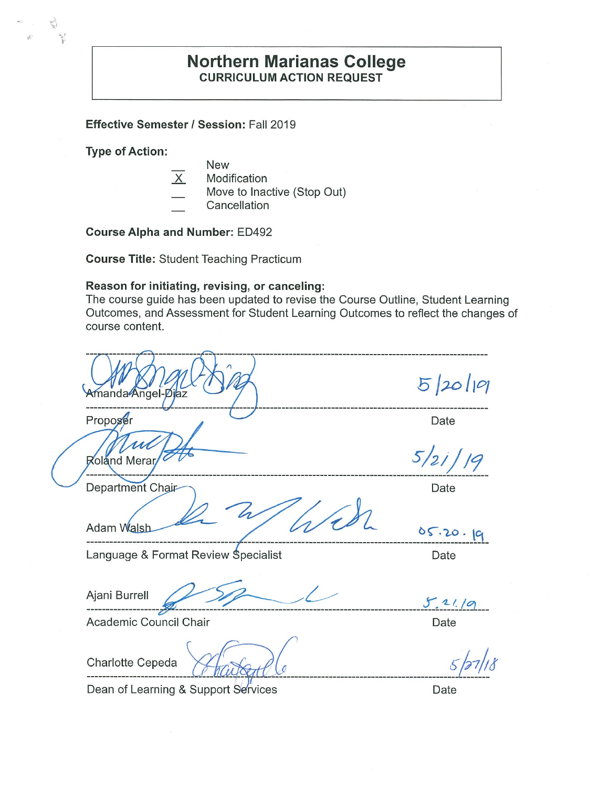## **Northern Marianas College CURRICULUM ACTION REQUEST**

Effective Semester / Session: Fall 2019

**Type of Action:** 

5)  $\gamma$ 

- New
	- $\overline{X}$ Modification
		- Move to Inactive (Stop Out)
	- Cancellation

**Course Alpha and Number: ED492** 

**Course Title: Student Teaching Practicum** 

#### Reason for initiating, revising, or canceling:

The course guide has been updated to revise the Course Outline, Student Learning Outcomes, and Assessment for Student Learning Outcomes to reflect the changes of course content.

| Amanda Angel-Diaz                   | 5/20/19  |
|-------------------------------------|----------|
| Proposer                            | Date     |
| Roland Merar                        | 5/21/19  |
| Department Chair                    | Date     |
| Adam Walsh                          | 05.20.19 |
| Language & Format Review Specialist | Date     |
| Ajani Burrell                       | 5.2119   |
| Academic Council Chair              | Date     |
| Charlotte Cepeda                    |          |
| Dean of Learning & Support Services | Date     |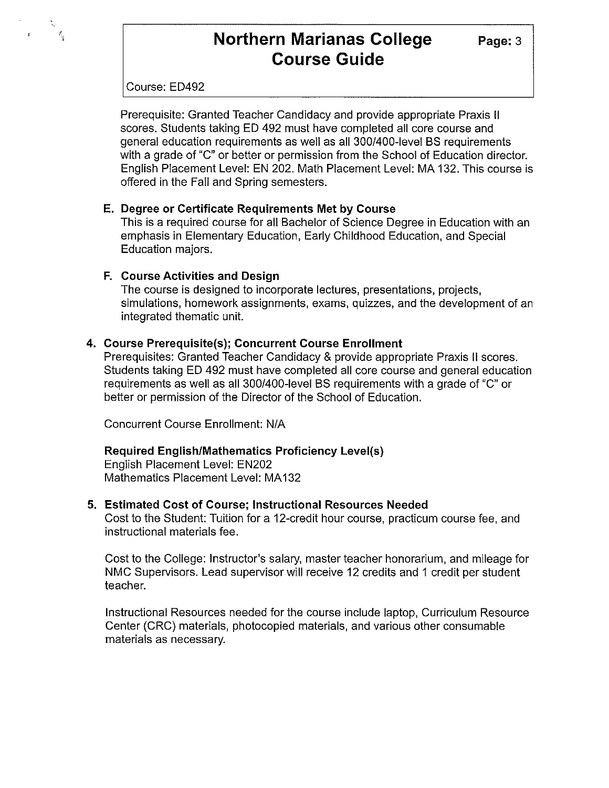# **Northern Marianas College Course Guide**

**Page:3** 

#### Course: ED492

 $\mathcal{E}_{\rm g}$ 

Prerequisite: Granted Teacher Candidacy and provide appropriate Praxis II scores. Students taking ED 492 must have completed all core course and general education requirements as well as all 300/400-level BS requirements with a grade of "C" or better or permission from the School of Education director. English Placement Level: EN 202. Math Placement Level: MA 132. This course is offered in the Fall and Spring semesters.

#### **E. Degree or Certificate Requirements Met by Course**

This is a required course for all Bachelor of Science Degree in Education with an emphasis in Elementary Education, Early Childhood Education, and Special Education majors.

#### **F. Course Activities and Design**

The course is designed to incorporate lectures, presentations, projects, simulations, homework assignments, exams, quizzes, and the development of an integrated thematic unit.

#### **4. Course Prerequisite(s); Concurrent Course Enrollment**

Prerequisites: Granted Teacher Candidacy & provide appropriate Praxis II scores. Students taking ED 492 must have completed all core course and general education requirements as well as all 300/400-level BS requirements with a grade of "C" or better or permission of the Director of the School of Education.

Concurrent Course Enrollment: N/A

#### **Required English/Mathematics Proficiency Level(s)**

English Placement Level: EN202 Mathematics Placement Level: MA132

#### **5. Estimated Cost of Course; Instructional Resources Needed**

Cost to the Student: Tuition for a 12-credit hour course, practicum course fee, and instructional materials fee.

Cost to the College: Instructor's salary, master teacher honorarium, and mileage for NMC Supervisors. Lead supervisor will receive 12 credits and 1 credit per student teacher.

Instructional Resources needed for the course include laptop, Curriculum Resource Center (CRC) materials, photocopied materials, and various other consumable materials as necessary.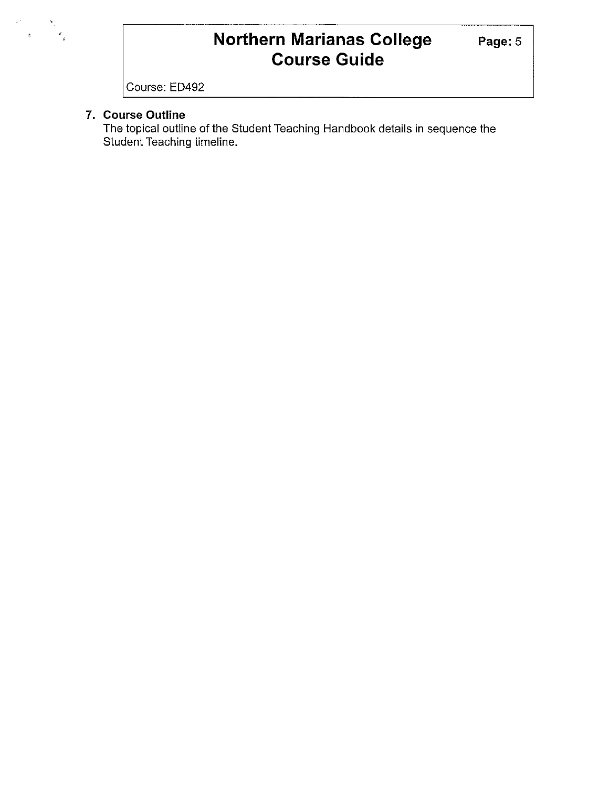# **Northern Marianas College Course Guide**

Course: ED492

### **7. Course Outline**

 $\epsilon^{\pm}$ 

 $rac{1}{\delta}$ 

The topical outline of the Student Teaching Handbook details in sequence the Student Teaching timeline.